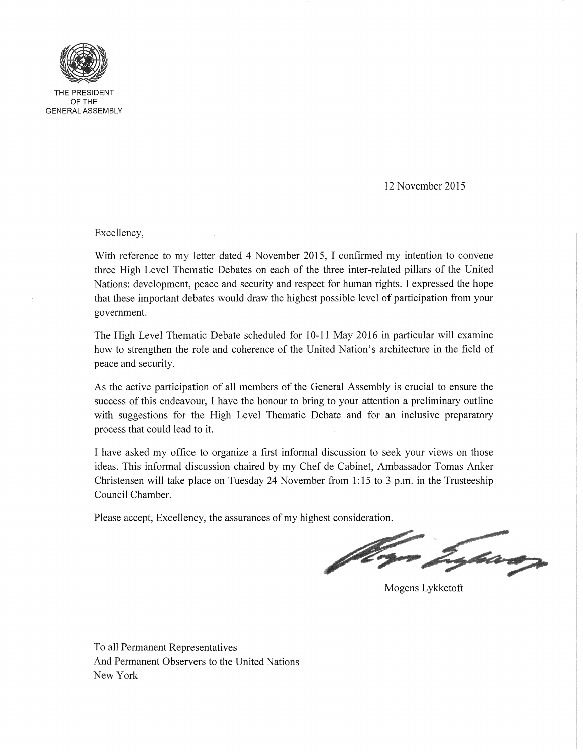

THE PRESIDENT OFTHE GENERAL ASSEMBLY

12 November 2015

Excellency,

With reference to my letter dated 4 November 2015, I confirmed my intention to convene three High Level Thematic Debates on each of the three inter-related pillars of the United Nations: development, peace and security and respect for human rights. I expressed the hope that these important debates would draw the highest possible level of participation from your government.

The High Level Thematic Debate scheduled for 10-11 May 2016 in particular will examine how to strengthen the role and coherence of the United Nation's architecture in the field of peace and security.

As the active participation of all members of the General Assembly is crucial to ensure the success of this endeavour, I have the honour to bring to your attention a preliminary outline with suggestions for the High Level Thematic Debate and for an inclusive preparatory process that could lead to it.

I have asked my office to organize a first informal discussion to seek your views on those ideas. This informal discussion chaired by my Chef de Cabinet, Ambassador Tomas Anker Christensen will take place on Tuesday 24 November from 1:15 to 3 p.m. in the Trusteeship Council Chamber.

Please accept, Excellency, the assurances of my highest consideration.

t staan

Mogens Lykketoft

To all Permanent Representatives And Permanent Observers to the United Nations New York